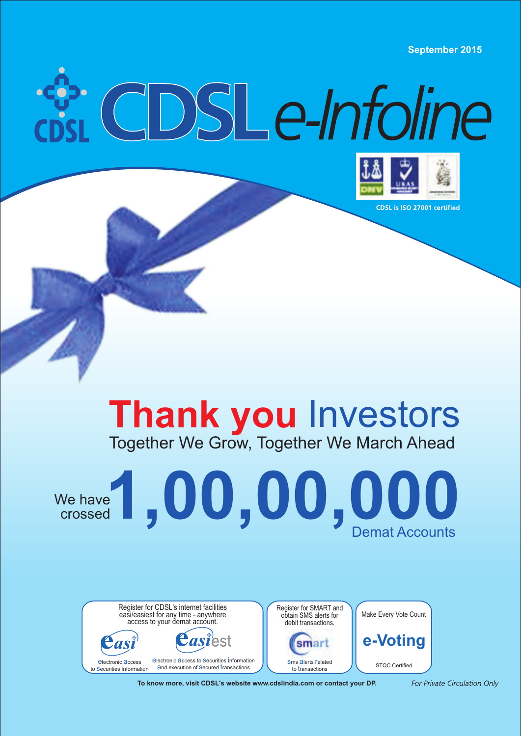**September 2015**

# i CDSLe-Infoline



CDSL is ISO 27001 certified

## Together We Grow, Together We March Ahead **Thank you** Investors





**To know more, visit CDSL's website www.cdslindia.com or contact your DP.**

For Private Circulation Only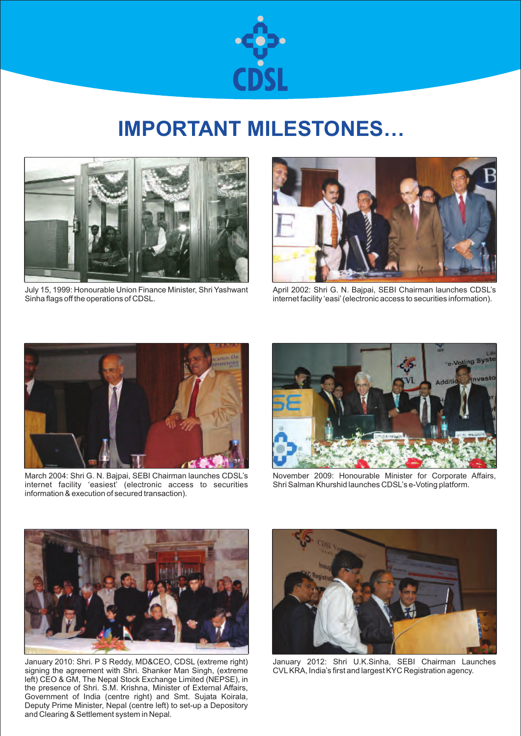

## **IMPORTANT MILESTONES…**



July 15, 1999: Honourable Union Finance Minister, Shri Yashwant Sinha flags off the operations of CDSL.



April 2002: Shri G. N. Bajpai, SEBI Chairman launches CDSL's internet facility 'easi' (electronic access to securities information).



March 2004: Shri G. N. Bajpai, SEBI Chairman launches CDSL's internet facility 'easiest' (electronic access to securities information & execution of secured transaction).



November 2009: Honourable Minister for Corporate Affairs, Shri Salman Khurshid launches CDSL's e-Voting platform.



January 2010: Shri. P S Reddy, MD&CEO, CDSL (extreme right) signing the agreement with Shri. Shanker Man Singh, (extreme left) CEO & GM, The Nepal Stock Exchange Limited (NEPSE), in the presence of Shri. S.M. Krishna, Minister of External Affairs, Government of India (centre right) and Smt. Sujata Koirala, Deputy Prime Minister, Nepal (centre left) to set-up a Depository and Clearing & Settlement system in Nepal.



January 2012: Shri U.K.Sinha, SEBI Chairman Launches CVL KRA, India's first and largest KYC Registration agency.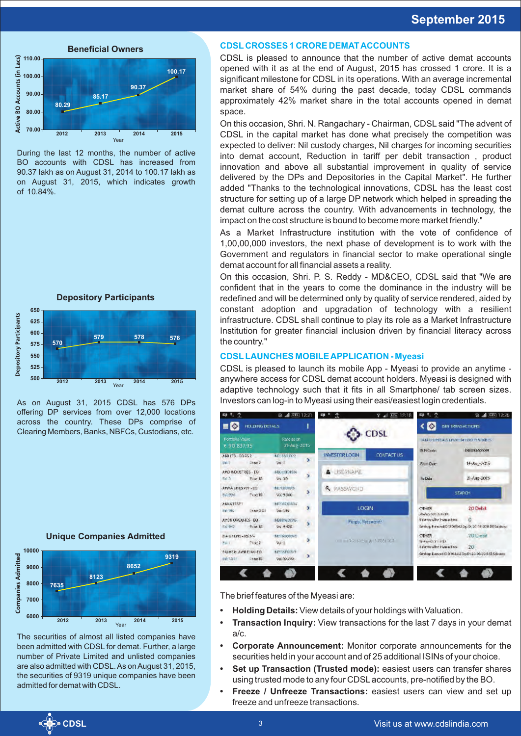

During the last 12 months, the number of active BO accounts with CDSL has increased from 90.37 lakh as on August 31, 2014 to 100.17 lakh as on August 31, 2015, which indicates growth of 10.84%.



As on August 31, 2015 CDSL has 576 DPs offering DP services from over 12,000 locations across the country. These DPs comprise of Clearing Members, Banks, NBFCs, Custodians, etc.

**Unique Companies Admitted** 



The securities of almost all listed companies have been admitted with CDSL for demat. Further, a large number of Private Limited and unlisted companies are also admitted with CDSL. As on August 31, 2015, the securities of 9319 unique companies have been admitted for demat with CDSL.

#### **CDSL CROSSES 1 CRORE DEMAT ACCOUNTS**

CDSL is pleased to announce that the number of active demat accounts opened with it as at the end of August, 2015 has crossed 1 crore. It is a significant milestone for CDSL in its operations. With an average incremental market share of 54% during the past decade, today CDSL commands approximately 42% market share in the total accounts opened in demat space.

On this occasion, Shri. N. Rangachary - Chairman, CDSL said "The advent of CDSL in the capital market has done what precisely the competition was expected to deliver: Nil custody charges, Nil charges for incoming securities into demat account, Reduction in tariff per debit transaction , product innovation and above all substantial improvement in quality of service delivered by the DPs and Depositories in the Capital Market". He further added "Thanks to the technological innovations, CDSL has the least cost structure for setting up of a large DP network which helped in spreading the demat culture across the country. With advancements in technology, the impact on the cost structure is bound to become more market friendly."

As a Market Infrastructure institution with the vote of confidence of 1,00,00,000 investors, the next phase of development is to work with the Government and regulators in financial sector to make operational single demat account for all financial assets a reality.

On this occasion, Shri. P. S. Reddy - MD&CEO, CDSL said that "We are confident that in the years to come the dominance in the industry will be redefined and will be determined only by quality of service rendered, aided by constant adoption and upgradation of technology with a resilient infrastructure. CDSL shall continue to play its role as a Market Infrastructure Institution for greater financial inclusion driven by financial literacy across the country."

#### **CDSL LAUNCHES MOBILE APPLICATION - Myeasi**

CDSL is pleased to launch its mobile App - Myeasi to provide an anytime anywhere access for CDSL demat account holders. Myeasi is designed with adaptive technology such that it fits in all Smartphone/ tab screen sizes. Investors can log-in to Myeasi using their easi/easiest login credentials.

| Ф.<br>Ф                                               | ※ ■ 西 12:21                                         |                                    | 17.18            | 黒 宝<br>따                                                 | <b>※ ■ 面 12:25</b>                                                        |  |
|-------------------------------------------------------|-----------------------------------------------------|------------------------------------|------------------|----------------------------------------------------------|---------------------------------------------------------------------------|--|
| HOLDING DETAILS<br>- 9                                |                                                     |                                    |                  |                                                          | <b>SIN TRANSACTIONS</b>                                                   |  |
| <b>Portfolio Value</b><br>₹ 90.837.95                 | Rate as on<br>21 Aug 2015                           |                                    | <b>CDSL</b>      | ATA CHIMICALS LIVING A COOPER SHARES<br><b>IS NCode:</b> | INFORMATION                                                               |  |
| CZEGITTI-FORST<br>Ritori 7<br>tsi d                   | <b>KE MORYS</b><br>$\overline{\phantom{a}}$<br>Na-F | <b>INVESTOR LOCIN</b>              | <b>CONTACTUS</b> | Frim Due                                                 | $14 - \lambda_{11} - 7015$                                                |  |
| AND PIOUST RES. EQ.<br>$#$ ice 10<br><b>IDE 5</b>     | <b>NECESIDION</b><br>X<br>99.30                     | <b>USERNAME</b><br>Δ               |                  | <b>Jo Date</b>                                           | 21-Aug-2015                                                               |  |
| ANVAILNESS WITH DO<br>Proc 19.<br>97.994              | <b>KE/11/010/15</b><br>ð<br>56:9940                 | <b>Q</b> PASSWORD                  | <b>SEARCH</b>    |                                                          |                                                                           |  |
| AKKATESTI<br>de 1985<br>Real ORI                      | braintener.<br>Þ.<br>$395 - 395$                    | <b>LOGIN</b>                       |                  | <b>OTHER</b><br>Relativished biological                  | 20 Debit                                                                  |  |
| <b>JUYON GROUNDES EQ.</b><br><b>P414-10</b><br>TV 942 | <b>NESBIA 31315</b><br>5<br>94.9420                 | Forgo, Password?                   |                  | Balance after Instruction.                               | e<br>Safety g-1 Environment Christian State Device and Safety Debautochp. |  |
| 8 A G FERD - 05 37-<br>Finan 2<br>2411                | KET60000728<br>×<br>46.2                            | Committee Engineering Street Tele- |                  | <b>OTHER</b><br>With anni 20518 (PS2)                    | 20 Creatt                                                                 |  |
| 1/J HTRL AVR EINV-FO<br><b>HALLMART</b><br>250012     | <b>EPSSFORM</b><br>$\rightarrow$<br>Vac10.00        |                                    |                  | datance after inamachon.                                 | 20<br>Simbop E-mused to debt disks to p Dr. 20-06-3215 CR Sale area       |  |
|                                                       |                                                     |                                    |                  |                                                          |                                                                           |  |

The brief features of the Myeasi are:

- **Holding Details:** View details of your holdings with Valuation.
- **Transaction Inquiry:** View transactions for the last 7 days in your demat a/c.
- **Corporate Announcement:** Monitor corporate announcements for the securities held in your account and of 25 additional ISINs of your choice.
- **Set up Transaction (Trusted mode):** easiest users can transfer shares using trusted mode to any four CDSL accounts, pre-notified by the BO.
- **Freeze / Unfreeze Transactions:** easiest users can view and set up freeze and unfreeze transactions.

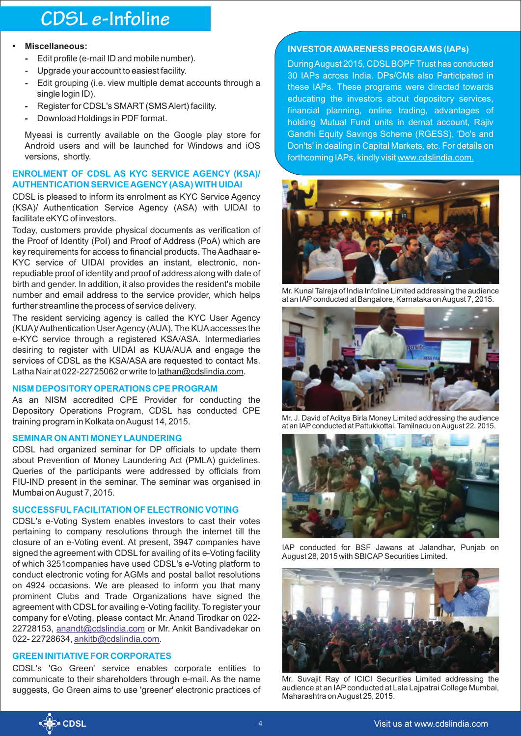## **CDSL e-Infoline**

#### **• Miscellaneous:**

- **-** Edit profile (e-mail ID and mobile number).
- **-** Upgrade your account to easiest facility.
- **-** Edit grouping (i.e. view multiple demat accounts through a single login ID).
- **-** Register for CDSL's SMART (SMS Alert) facility.
- **-** Download Holdings in PDF format.

Myeasi is currently available on the Google play store for Android users and will be launched for Windows and iOS versions, shortly.

#### **ENROLMENT OF CDSL AS KYC SERVICE AGENCY (KSA)/ AUTHENTICATION SERVICE AGENCY (ASA) WITH UIDAI**

CDSL is pleased to inform its enrolment as KYC Service Agency (KSA)/ Authentication Service Agency (ASA) with UIDAI to facilitate eKYC of investors.

Today, customers provide physical documents as verification of the Proof of Identity (PoI) and Proof of Address (PoA) which are key requirements for access to financial products. The Aadhaar e-KYC service of UIDAI provides an instant, electronic, nonrepudiable proof of identity and proof of address along with date of birth and gender. In addition, it also provides the resident's mobile number and email address to the service provider, which helps further streamline the process of service delivery.

The resident servicing agency is called the KYC User Agency (KUA)/ Authentication User Agency (AUA). The KUA accesses the e-KYC service through a registered KSA/ASA. Intermediaries desiring to register with UIDAI as KUA/AUA and engage the services of CDSL as the KSA/ASA are requested to contact Ms. Latha Nair at 022-22725062 or write to lathan@cdslindia.com.

#### **NISM DEPOSITORY OPERATIONS CPE PROGRAM**

As an NISM accredited CPE Provider for conducting the Depository Operations Program, CDSL has conducted CPE training program in Kolkata on August 14, 2015.

#### **SEMINAR ON ANTI MONEY LAUNDERING**

CDSL had organized seminar for DP officials to update them about Prevention of Money Laundering Act (PMLA) guidelines. Queries of the participants were addressed by officials from FIU-IND present in the seminar. The seminar was organised in Mumbai on August 7, 2015.

#### **SUCCESSFUL FACILITATION OF ELECTRONIC VOTING**

CDSL's e-Voting System enables investors to cast their votes pertaining to company resolutions through the internet till the closure of an e-Voting event. At present, 3947 companies have signed the agreement with CDSL for availing of its e-Voting facility of which 3251companies have used CDSL's e-Voting platform to conduct electronic voting for AGMs and postal ballot resolutions on 4924 occasions. We are pleased to inform you that many prominent Clubs and Trade Organizations have signed the agreement with CDSL for availing e-Voting facility. To register your company for eVoting, please contact Mr. Anand Tirodkar on 022- 22728153,<u>anandt@cdslindia.com</u> or Mr. Ankit Bandivadekar on 022-22728634, <u>ankitb@cdslindia.com</u>.

#### **GREEN INITIATIVE FOR CORPORATES**

CDSL's 'Go Green' service enables corporate entities to communicate to their shareholders through e-mail. As the name suggests, Go Green aims to use 'greener' electronic practices of

#### **INVESTOR AWARENESS PROGRAMS (IAPs)**

During August 2015, CDSL BOPF Trust has conducted 30 IAPs across India. DPs/CMs also Participated in these IAPs. These programs were directed towards educating the investors about depository services, financial planning, online trading, advantages of holding Mutual Fund units in demat account, Rajiv Gandhi Equity Savings Scheme (RGESS), 'Do's and Don'ts' in dealing in Capital Markets, etc. For details on forthcoming IAPs, kindly visit www.cdslindia.com.



Mr. Kunal Talreja of India Infoline Limited addressing the audience at an IAP conducted at Bangalore, Karnataka on August 7, 2015.



Mr. J. David of Aditya Birla Money Limited addressing the audience at an IAP conducted at Pattukkottai, Tamilnadu on August 22, 2015.



IAP conducted for BSF Jawans at Jalandhar, Punjab on August 28, 2015 with SBICAP Securities Limited.



Mr. Suvajit Ray of ICICI Securities Limited addressing the audience at an IAP conducted at Lala Lajpatrai College Mumbai, Maharashtra on August 25, 2015.